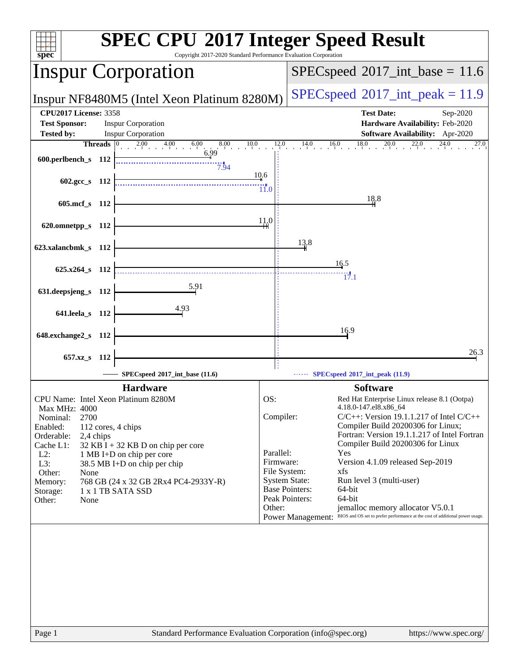| <b>SPEC CPU®2017 Integer Speed Result</b><br>$spec*$<br>Copyright 2017-2020 Standard Performance Evaluation Corporation |                |                                                                                      |                                            |                                                                                                          |  |
|-------------------------------------------------------------------------------------------------------------------------|----------------|--------------------------------------------------------------------------------------|--------------------------------------------|----------------------------------------------------------------------------------------------------------|--|
|                                                                                                                         |                | <b>Inspur Corporation</b>                                                            | $SPEC speed^{\circ}2017\_int\_base = 11.6$ |                                                                                                          |  |
|                                                                                                                         |                | Inspur NF8480M5 (Intel Xeon Platinum 8280M)                                          | $SPEC speed^{\circ}2017\_int\_peak = 11.9$ |                                                                                                          |  |
| <b>CPU2017 License: 3358</b>                                                                                            |                |                                                                                      |                                            | <b>Test Date:</b><br>Sep-2020                                                                            |  |
| <b>Test Sponsor:</b>                                                                                                    |                | <b>Inspur Corporation</b>                                                            |                                            | Hardware Availability: Feb-2020                                                                          |  |
| <b>Tested by:</b>                                                                                                       | <b>Threads</b> | <b>Inspur Corporation</b><br>8.00<br>10.0                                            | 12.0                                       | Software Availability: Apr-2020<br>18.0<br>20.0<br>14.0<br>27.0                                          |  |
|                                                                                                                         |                | $\begin{array}{cccccc}\n0 & 2.00 & 4.00 & 6.00 \\  & 1 & 1 & 1\n\end{array}$<br>6.99 |                                            | 16.0                                                                                                     |  |
| 600.perlbench_s 112                                                                                                     |                | 7.94                                                                                 |                                            |                                                                                                          |  |
| 602.gcc s $112$                                                                                                         |                |                                                                                      | 10.6                                       |                                                                                                          |  |
|                                                                                                                         |                |                                                                                      | 11.0                                       |                                                                                                          |  |
| 605.mcf_s 112                                                                                                           |                |                                                                                      |                                            | 18.8                                                                                                     |  |
|                                                                                                                         |                |                                                                                      |                                            |                                                                                                          |  |
| 620.omnetpp_s 112                                                                                                       |                |                                                                                      | 11.0                                       |                                                                                                          |  |
|                                                                                                                         |                |                                                                                      |                                            | 13.8                                                                                                     |  |
| 623.xalancbmk_s 112                                                                                                     |                |                                                                                      |                                            |                                                                                                          |  |
|                                                                                                                         |                |                                                                                      |                                            | 16.5                                                                                                     |  |
| 625.x264 s 112                                                                                                          |                |                                                                                      |                                            | 17.1                                                                                                     |  |
| 631.deepsjeng_s 112                                                                                                     |                |                                                                                      |                                            |                                                                                                          |  |
|                                                                                                                         |                |                                                                                      |                                            |                                                                                                          |  |
| 641.leela_s 112                                                                                                         |                | 4.93                                                                                 |                                            |                                                                                                          |  |
|                                                                                                                         |                |                                                                                      |                                            |                                                                                                          |  |
| 648.exchange2_s                                                                                                         | - 112          |                                                                                      |                                            | 16.9                                                                                                     |  |
|                                                                                                                         |                |                                                                                      |                                            | 26.3                                                                                                     |  |
| 657.xz_s                                                                                                                | - 112          |                                                                                      |                                            |                                                                                                          |  |
|                                                                                                                         |                | SPECspeed®2017_int_base (11.6)                                                       |                                            | SPECspeed®2017_int_peak (11.9)                                                                           |  |
|                                                                                                                         |                | <b>Hardware</b>                                                                      |                                            | <b>Software</b>                                                                                          |  |
| CPU Name: Intel Xeon Platinum 8280M                                                                                     |                |                                                                                      | OS:                                        | Red Hat Enterprise Linux release 8.1 (Ootpa)                                                             |  |
| <b>Max MHz: 4000</b>                                                                                                    |                |                                                                                      |                                            | 4.18.0-147.el8.x86_64                                                                                    |  |
| 2700<br>Nominal:                                                                                                        |                |                                                                                      | Compiler:                                  | $C/C++$ : Version 19.1.1.217 of Intel $C/C++$<br>Compiler Build 20200306 for Linux;                      |  |
| Enabled:<br>Orderable:<br>2,4 chips                                                                                     |                | 112 cores, 4 chips                                                                   |                                            | Fortran: Version 19.1.1.217 of Intel Fortran                                                             |  |
| Cache L1:                                                                                                               |                | $32$ KB I + 32 KB D on chip per core                                                 |                                            | Compiler Build 20200306 for Linux                                                                        |  |
| $L2$ :                                                                                                                  |                | 1 MB I+D on chip per core                                                            | Parallel:<br>Firmware:                     | Yes<br>Version 4.1.09 released Sep-2019                                                                  |  |
| L3:<br>Other:<br>None                                                                                                   |                | 38.5 MB I+D on chip per chip                                                         |                                            | File System:<br>xfs                                                                                      |  |
| Memory:                                                                                                                 |                | 768 GB (24 x 32 GB 2Rx4 PC4-2933Y-R)                                                 |                                            | <b>System State:</b><br>Run level 3 (multi-user)                                                         |  |
| Storage:                                                                                                                |                | 1 x 1 TB SATA SSD                                                                    |                                            | <b>Base Pointers:</b><br>64-bit<br>Peak Pointers:<br>64-bit                                              |  |
| Other:<br>None                                                                                                          |                |                                                                                      | Other:                                     | jemalloc memory allocator V5.0.1                                                                         |  |
|                                                                                                                         |                |                                                                                      |                                            | BIOS and OS set to prefer performance at the cost of additional power usage.<br><b>Power Management:</b> |  |
|                                                                                                                         |                |                                                                                      |                                            |                                                                                                          |  |
|                                                                                                                         |                |                                                                                      |                                            |                                                                                                          |  |
|                                                                                                                         |                |                                                                                      |                                            |                                                                                                          |  |
|                                                                                                                         |                |                                                                                      |                                            |                                                                                                          |  |
|                                                                                                                         |                |                                                                                      |                                            |                                                                                                          |  |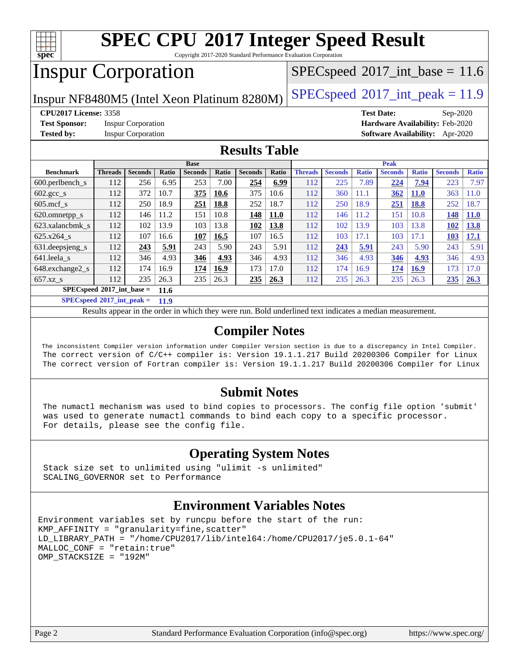

Copyright 2017-2020 Standard Performance Evaluation Corporation

# Inspur Corporation

 $SPECspeed^{\circ}2017\_int\_base = 11.6$  $SPECspeed^{\circ}2017\_int\_base = 11.6$ 

Inspur NF8480M5 (Intel Xeon Platinum 8280M)  $\left|$  [SPECspeed](http://www.spec.org/auto/cpu2017/Docs/result-fields.html#SPECspeed2017intpeak)®[2017\\_int\\_peak = 1](http://www.spec.org/auto/cpu2017/Docs/result-fields.html#SPECspeed2017intpeak)1.9

**[CPU2017 License:](http://www.spec.org/auto/cpu2017/Docs/result-fields.html#CPU2017License)** 3358 **[Test Date:](http://www.spec.org/auto/cpu2017/Docs/result-fields.html#TestDate)** Sep-2020

**[Test Sponsor:](http://www.spec.org/auto/cpu2017/Docs/result-fields.html#TestSponsor)** Inspur Corporation **[Hardware Availability:](http://www.spec.org/auto/cpu2017/Docs/result-fields.html#HardwareAvailability)** Feb-2020

**[Tested by:](http://www.spec.org/auto/cpu2017/Docs/result-fields.html#Testedby)** Inspur Corporation **[Software Availability:](http://www.spec.org/auto/cpu2017/Docs/result-fields.html#SoftwareAvailability)** Apr-2020

### **[Results Table](http://www.spec.org/auto/cpu2017/Docs/result-fields.html#ResultsTable)**

| <b>Base</b>                         |                |                |       |                |       |                | <b>Peak</b> |                |                |              |                |              |                |              |
|-------------------------------------|----------------|----------------|-------|----------------|-------|----------------|-------------|----------------|----------------|--------------|----------------|--------------|----------------|--------------|
| <b>Benchmark</b>                    | <b>Threads</b> | <b>Seconds</b> | Ratio | <b>Seconds</b> | Ratio | <b>Seconds</b> | Ratio       | <b>Threads</b> | <b>Seconds</b> | <b>Ratio</b> | <b>Seconds</b> | <b>Ratio</b> | <b>Seconds</b> | <b>Ratio</b> |
| 600.perlbench s                     | 112            | 256            | 6.95  | 253            | 7.00  | 254            | 6.99        | 112            | 225            | 7.89         | 224            | 7.94         | 223            | 7.97         |
| $602 \text{. gcc}$ s                | 112            | 372            | 10.7  | 375            | 10.6  | 375            | 10.6        | 112            | 360            | 11.1         | 362            | <b>11.0</b>  | 363            | 11.0         |
| $605$ .mcf s                        | 112            | 250            | 18.9  | 251            | 18.8  | 252            | 18.7        | 112            | 250            | 18.9         | 251            | 18.8         | 252            | 18.7         |
| 620.omnetpp_s                       | 112            | 146            | 11.2  | 151            | 10.8  | 148            | <b>11.0</b> | 112            | 146            | 11.2         | 151            | 10.8         | 148            | <b>11.0</b>  |
| 623.xalancbmk s                     | 112            | 102            | 13.9  | 103            | 13.8  | 102            | 13.8        | 112            | 102            | 13.9         | 103            | 13.8         | 102            | <b>13.8</b>  |
| 625.x264 s                          | 112            | 107            | 16.6  | 107            | 16.5  | 107            | 16.5        | 112            | 103            | 17.1         | 103            | 17.1         | 103            | <b>17.1</b>  |
| 631.deepsjeng_s                     | 112            | 243            | 5.91  | 243            | 5.90  | 243            | 5.91        | 112            | 243            | 5.91         | 243            | 5.90         | 243            | 5.91         |
| 641.leela s                         | 112            | 346            | 4.93  | 346            | 4.93  | 346            | 4.93        | 112            | 346            | 4.93         | 346            | 4.93         | 346            | 4.93         |
| 648.exchange2_s                     | 112            | 174            | 16.9  | 174            | 16.9  | 173            | 17.0        | 112            | 174            | 16.9         | 174            | <b>16.9</b>  | 173            | 17.0         |
| $657.xz$ <sub>S</sub>               | 112            | 235            | 26.3  | 235            | 26.3  | 235            | 26.3        | 112            | 235            | 26.3         | 235            | 26.3         | 235            | 26.3         |
| $SPECspeed*2017$ int base =<br>11.6 |                |                |       |                |       |                |             |                |                |              |                |              |                |              |

**[SPECspeed](http://www.spec.org/auto/cpu2017/Docs/result-fields.html#SPECspeed2017intpeak)[2017\\_int\\_peak =](http://www.spec.org/auto/cpu2017/Docs/result-fields.html#SPECspeed2017intpeak) 11.9**

Results appear in the [order in which they were run.](http://www.spec.org/auto/cpu2017/Docs/result-fields.html#RunOrder) Bold underlined text [indicates a median measurement](http://www.spec.org/auto/cpu2017/Docs/result-fields.html#Median).

### **[Compiler Notes](http://www.spec.org/auto/cpu2017/Docs/result-fields.html#CompilerNotes)**

 The inconsistent Compiler version information under Compiler Version section is due to a discrepancy in Intel Compiler. The correct version of C/C++ compiler is: Version 19.1.1.217 Build 20200306 Compiler for Linux The correct version of Fortran compiler is: Version 19.1.1.217 Build 20200306 Compiler for Linux

### **[Submit Notes](http://www.spec.org/auto/cpu2017/Docs/result-fields.html#SubmitNotes)**

 The numactl mechanism was used to bind copies to processors. The config file option 'submit' was used to generate numactl commands to bind each copy to a specific processor. For details, please see the config file.

### **[Operating System Notes](http://www.spec.org/auto/cpu2017/Docs/result-fields.html#OperatingSystemNotes)**

 Stack size set to unlimited using "ulimit -s unlimited" SCALING\_GOVERNOR set to Performance

### **[Environment Variables Notes](http://www.spec.org/auto/cpu2017/Docs/result-fields.html#EnvironmentVariablesNotes)**

```
Environment variables set by runcpu before the start of the run:
KMP_AFFINITY = "granularity=fine,scatter"
LD_LIBRARY_PATH = "/home/CPU2017/lib/intel64:/home/CPU2017/je5.0.1-64"
MALLOC_CONF = "retain:true"
OMP_STACKSIZE = "192M"
```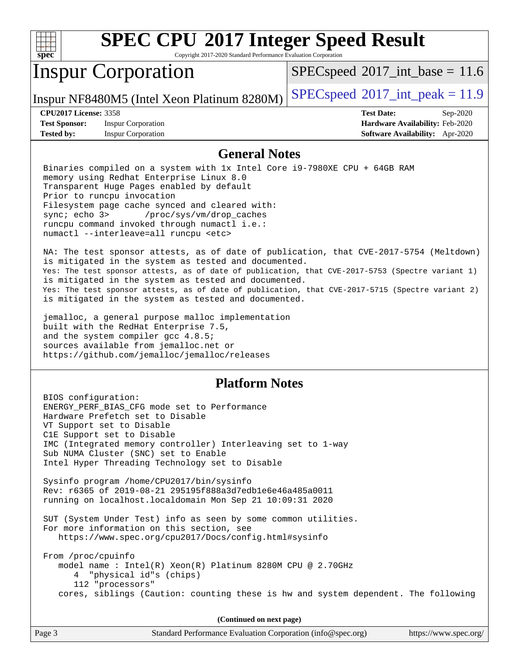

Copyright 2017-2020 Standard Performance Evaluation Corporation

# Inspur Corporation

 $SPECspeed^{\circ}2017\_int\_base = 11.6$  $SPECspeed^{\circ}2017\_int\_base = 11.6$ 

Inspur NF8480M5 (Intel Xeon Platinum 8280M) [SPECspeed](http://www.spec.org/auto/cpu2017/Docs/result-fields.html#SPECspeed2017intpeak)<sup>®</sup>[2017\\_int\\_peak = 1](http://www.spec.org/auto/cpu2017/Docs/result-fields.html#SPECspeed2017intpeak)1.9

**[Test Sponsor:](http://www.spec.org/auto/cpu2017/Docs/result-fields.html#TestSponsor)** Inspur Corporation **[Hardware Availability:](http://www.spec.org/auto/cpu2017/Docs/result-fields.html#HardwareAvailability)** Feb-2020 **[Tested by:](http://www.spec.org/auto/cpu2017/Docs/result-fields.html#Testedby)** Inspur Corporation **[Software Availability:](http://www.spec.org/auto/cpu2017/Docs/result-fields.html#SoftwareAvailability)** Apr-2020

**[CPU2017 License:](http://www.spec.org/auto/cpu2017/Docs/result-fields.html#CPU2017License)** 3358 **[Test Date:](http://www.spec.org/auto/cpu2017/Docs/result-fields.html#TestDate)** Sep-2020

### **[General Notes](http://www.spec.org/auto/cpu2017/Docs/result-fields.html#GeneralNotes)**

 Binaries compiled on a system with 1x Intel Core i9-7980XE CPU + 64GB RAM memory using Redhat Enterprise Linux 8.0 Transparent Huge Pages enabled by default Prior to runcpu invocation Filesystem page cache synced and cleared with: sync; echo 3> /proc/sys/vm/drop\_caches runcpu command invoked through numactl i.e.: numactl --interleave=all runcpu <etc>

 NA: The test sponsor attests, as of date of publication, that CVE-2017-5754 (Meltdown) is mitigated in the system as tested and documented. Yes: The test sponsor attests, as of date of publication, that CVE-2017-5753 (Spectre variant 1) is mitigated in the system as tested and documented. Yes: The test sponsor attests, as of date of publication, that CVE-2017-5715 (Spectre variant 2) is mitigated in the system as tested and documented.

 jemalloc, a general purpose malloc implementation built with the RedHat Enterprise 7.5, and the system compiler gcc 4.8.5; sources available from jemalloc.net or <https://github.com/jemalloc/jemalloc/releases>

### **[Platform Notes](http://www.spec.org/auto/cpu2017/Docs/result-fields.html#PlatformNotes)**

 BIOS configuration: ENERGY\_PERF\_BIAS\_CFG mode set to Performance Hardware Prefetch set to Disable VT Support set to Disable C1E Support set to Disable IMC (Integrated memory controller) Interleaving set to 1-way Sub NUMA Cluster (SNC) set to Enable Intel Hyper Threading Technology set to Disable Sysinfo program /home/CPU2017/bin/sysinfo Rev: r6365 of 2019-08-21 295195f888a3d7edb1e6e46a485a0011 running on localhost.localdomain Mon Sep 21 10:09:31 2020 SUT (System Under Test) info as seen by some common utilities. For more information on this section, see <https://www.spec.org/cpu2017/Docs/config.html#sysinfo> From /proc/cpuinfo model name : Intel(R) Xeon(R) Platinum 8280M CPU @ 2.70GHz 4 "physical id"s (chips) 112 "processors" cores, siblings (Caution: counting these is hw and system dependent. The following

**(Continued on next page)**

| Page 3 | Standard Performance Evaluation Corporation (info@spec.org) | https://www.spec.org/ |
|--------|-------------------------------------------------------------|-----------------------|
|        |                                                             |                       |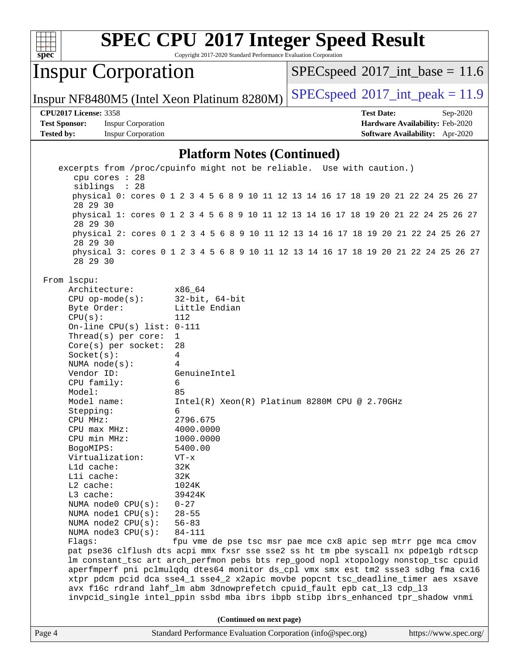

Copyright 2017-2020 Standard Performance Evaluation Corporation

# Inspur Corporation

 $SPECspeed^{\circ}2017\_int\_base = 11.6$  $SPECspeed^{\circ}2017\_int\_base = 11.6$ 

Inspur NF8480M5 (Intel Xeon Platinum 8280M) [SPECspeed](http://www.spec.org/auto/cpu2017/Docs/result-fields.html#SPECspeed2017intpeak)<sup>®</sup>[2017\\_int\\_peak = 1](http://www.spec.org/auto/cpu2017/Docs/result-fields.html#SPECspeed2017intpeak)1.9

#### **[CPU2017 License:](http://www.spec.org/auto/cpu2017/Docs/result-fields.html#CPU2017License)** 3358 **[Test Date:](http://www.spec.org/auto/cpu2017/Docs/result-fields.html#TestDate)** Sep-2020

**[Test Sponsor:](http://www.spec.org/auto/cpu2017/Docs/result-fields.html#TestSponsor)** Inspur Corporation **[Hardware Availability:](http://www.spec.org/auto/cpu2017/Docs/result-fields.html#HardwareAvailability)** Feb-2020 **[Tested by:](http://www.spec.org/auto/cpu2017/Docs/result-fields.html#Testedby)** Inspur Corporation **[Software Availability:](http://www.spec.org/auto/cpu2017/Docs/result-fields.html#SoftwareAvailability)** Apr-2020

### **[Platform Notes \(Continued\)](http://www.spec.org/auto/cpu2017/Docs/result-fields.html#PlatformNotes)**

Page 4 Standard Performance Evaluation Corporation [\(info@spec.org\)](mailto:info@spec.org) <https://www.spec.org/> excerpts from /proc/cpuinfo might not be reliable. Use with caution.) cpu cores : 28 siblings : 28 physical 0: cores 0 1 2 3 4 5 6 8 9 10 11 12 13 14 16 17 18 19 20 21 22 24 25 26 27 28 29 30 physical 1: cores 0 1 2 3 4 5 6 8 9 10 11 12 13 14 16 17 18 19 20 21 22 24 25 26 27 28 29 30 physical 2: cores 0 1 2 3 4 5 6 8 9 10 11 12 13 14 16 17 18 19 20 21 22 24 25 26 27 28 29 30 physical 3: cores 0 1 2 3 4 5 6 8 9 10 11 12 13 14 16 17 18 19 20 21 22 24 25 26 27 28 29 30 From lscpu: Architecture: x86\_64 CPU op-mode(s): 32-bit, 64-bit Byte Order: Little Endian  $CPU(s):$  112 On-line CPU(s) list: 0-111 Thread(s) per core: 1 Core(s) per socket: 28 Socket(s): 4 NUMA node(s): 4 Vendor ID: GenuineIntel CPU family: 6 Model: 85 Model name: Intel(R) Xeon(R) Platinum 8280M CPU @ 2.70GHz Stepping: 6 CPU MHz: 2796.675 CPU max MHz: 4000.0000 CPU min MHz: 1000.0000 BogoMIPS: 5400.00 Virtualization: VT-x L1d cache: 32K L1i cache: 32K L2 cache: 1024K L3 cache: 39424K NUMA node0 CPU(s): 0-27 NUMA node1 CPU(s): 28-55 NUMA node2 CPU(s): 56-83 NUMA node3 CPU(s): 84-111 Flags: fpu vme de pse tsc msr pae mce cx8 apic sep mtrr pge mca cmov pat pse36 clflush dts acpi mmx fxsr sse sse2 ss ht tm pbe syscall nx pdpe1gb rdtscp lm constant\_tsc art arch\_perfmon pebs bts rep\_good nopl xtopology nonstop\_tsc cpuid aperfmperf pni pclmulqdq dtes64 monitor ds\_cpl vmx smx est tm2 ssse3 sdbg fma cx16 xtpr pdcm pcid dca sse4\_1 sse4\_2 x2apic movbe popcnt tsc\_deadline\_timer aes xsave avx f16c rdrand lahf\_lm abm 3dnowprefetch cpuid\_fault epb cat\_l3 cdp\_l3 invpcid\_single intel\_ppin ssbd mba ibrs ibpb stibp ibrs\_enhanced tpr\_shadow vnmi **(Continued on next page)**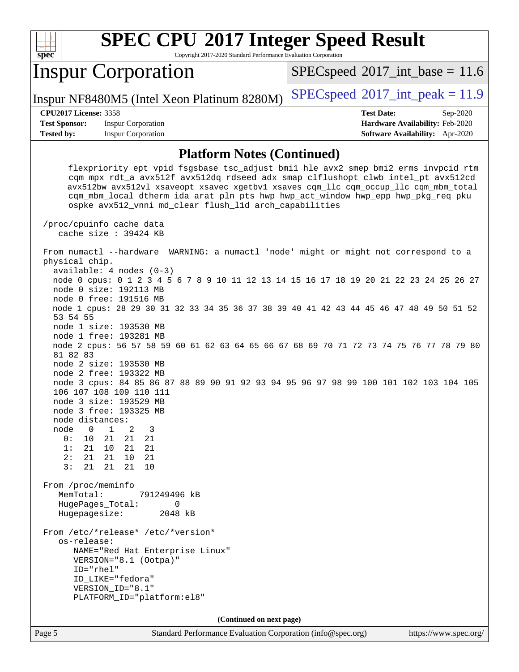| s<br>ne<br>c |  |  |  |  |  |
|--------------|--|--|--|--|--|

Copyright 2017-2020 Standard Performance Evaluation Corporation

## Inspur Corporation

 $SPECspeed^{\circ}2017\_int\_base = 11.6$  $SPECspeed^{\circ}2017\_int\_base = 11.6$ 

Inspur NF8480M5 (Intel Xeon Platinum 8280M)  $\left|$  [SPECspeed](http://www.spec.org/auto/cpu2017/Docs/result-fields.html#SPECspeed2017intpeak)®[2017\\_int\\_peak = 1](http://www.spec.org/auto/cpu2017/Docs/result-fields.html#SPECspeed2017intpeak)1.9

**[Test Sponsor:](http://www.spec.org/auto/cpu2017/Docs/result-fields.html#TestSponsor)** Inspur Corporation **[Hardware Availability:](http://www.spec.org/auto/cpu2017/Docs/result-fields.html#HardwareAvailability)** Feb-2020 **[Tested by:](http://www.spec.org/auto/cpu2017/Docs/result-fields.html#Testedby)** Inspur Corporation **[Software Availability:](http://www.spec.org/auto/cpu2017/Docs/result-fields.html#SoftwareAvailability)** Apr-2020

**[CPU2017 License:](http://www.spec.org/auto/cpu2017/Docs/result-fields.html#CPU2017License)** 3358 **[Test Date:](http://www.spec.org/auto/cpu2017/Docs/result-fields.html#TestDate)** Sep-2020

#### **[Platform Notes \(Continued\)](http://www.spec.org/auto/cpu2017/Docs/result-fields.html#PlatformNotes)**

 flexpriority ept vpid fsgsbase tsc\_adjust bmi1 hle avx2 smep bmi2 erms invpcid rtm cqm mpx rdt\_a avx512f avx512dq rdseed adx smap clflushopt clwb intel\_pt avx512cd avx512bw avx512vl xsaveopt xsavec xgetbv1 xsaves cqm\_llc cqm\_occup\_llc cqm\_mbm\_total cqm\_mbm\_local dtherm ida arat pln pts hwp hwp\_act\_window hwp\_epp hwp\_pkg\_req pku ospke avx512\_vnni md\_clear flush\_l1d arch\_capabilities /proc/cpuinfo cache data cache size : 39424 KB From numactl --hardware WARNING: a numactl 'node' might or might not correspond to a physical chip. available: 4 nodes (0-3) node 0 cpus: 0 1 2 3 4 5 6 7 8 9 10 11 12 13 14 15 16 17 18 19 20 21 22 23 24 25 26 27 node 0 size: 192113 MB node 0 free: 191516 MB node 1 cpus: 28 29 30 31 32 33 34 35 36 37 38 39 40 41 42 43 44 45 46 47 48 49 50 51 52 53 54 55 node 1 size: 193530 MB node 1 free: 193281 MB node 2 cpus: 56 57 58 59 60 61 62 63 64 65 66 67 68 69 70 71 72 73 74 75 76 77 78 79 80 81 82 83 node 2 size: 193530 MB node 2 free: 193322 MB node 3 cpus: 84 85 86 87 88 89 90 91 92 93 94 95 96 97 98 99 100 101 102 103 104 105 106 107 108 109 110 111 node 3 size: 193529 MB node 3 free: 193325 MB node distances: node 0 1 2 3 0: 10 21 21 21 1: 21 10 21 21 2: 21 21 10 21 3: 21 21 21 10 From /proc/meminfo MemTotal: 791249496 kB HugePages\_Total: 0 Hugepagesize: 2048 kB From /etc/\*release\* /etc/\*version\* os-release: NAME="Red Hat Enterprise Linux" VERSION="8.1 (Ootpa)" ID="rhel" ID\_LIKE="fedora" VERSION\_ID="8.1" PLATFORM\_ID="platform:el8" **(Continued on next page)**

Page 5 Standard Performance Evaluation Corporation [\(info@spec.org\)](mailto:info@spec.org) <https://www.spec.org/>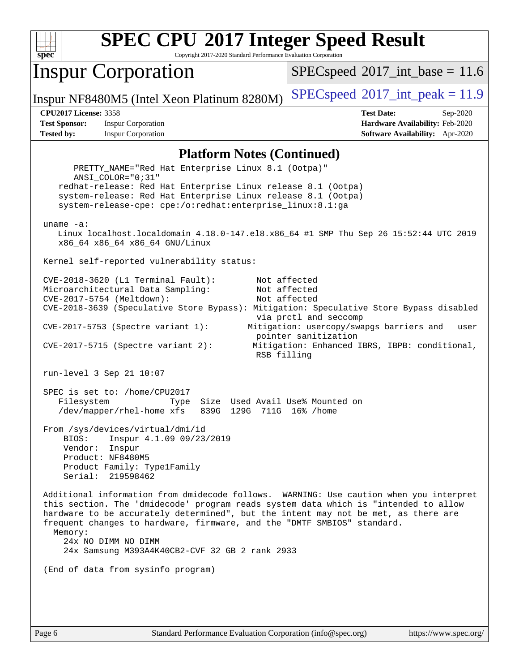

Copyright 2017-2020 Standard Performance Evaluation Corporation

## Inspur Corporation

 $SPECspeed^{\circ}2017\_int\_base = 11.6$  $SPECspeed^{\circ}2017\_int\_base = 11.6$ 

Inspur NF8480M5 (Intel Xeon Platinum 8280M) [SPECspeed](http://www.spec.org/auto/cpu2017/Docs/result-fields.html#SPECspeed2017intpeak)<sup>®</sup>[2017\\_int\\_peak = 1](http://www.spec.org/auto/cpu2017/Docs/result-fields.html#SPECspeed2017intpeak)1.9

**[Test Sponsor:](http://www.spec.org/auto/cpu2017/Docs/result-fields.html#TestSponsor)** Inspur Corporation **[Hardware Availability:](http://www.spec.org/auto/cpu2017/Docs/result-fields.html#HardwareAvailability)** Feb-2020 **[Tested by:](http://www.spec.org/auto/cpu2017/Docs/result-fields.html#Testedby)** Inspur Corporation **[Software Availability:](http://www.spec.org/auto/cpu2017/Docs/result-fields.html#SoftwareAvailability)** Apr-2020

**[CPU2017 License:](http://www.spec.org/auto/cpu2017/Docs/result-fields.html#CPU2017License)** 3358 **[Test Date:](http://www.spec.org/auto/cpu2017/Docs/result-fields.html#TestDate)** Sep-2020

#### **[Platform Notes \(Continued\)](http://www.spec.org/auto/cpu2017/Docs/result-fields.html#PlatformNotes)**

 PRETTY\_NAME="Red Hat Enterprise Linux 8.1 (Ootpa)" ANSI\_COLOR="0;31" redhat-release: Red Hat Enterprise Linux release 8.1 (Ootpa) system-release: Red Hat Enterprise Linux release 8.1 (Ootpa) system-release-cpe: cpe:/o:redhat:enterprise\_linux:8.1:ga uname -a: Linux localhost.localdomain 4.18.0-147.el8.x86\_64 #1 SMP Thu Sep 26 15:52:44 UTC 2019 x86\_64 x86\_64 x86\_64 GNU/Linux Kernel self-reported vulnerability status: CVE-2018-3620 (L1 Terminal Fault): Not affected Microarchitectural Data Sampling: Not affected CVE-2017-5754 (Meltdown): Not affected CVE-2018-3639 (Speculative Store Bypass): Mitigation: Speculative Store Bypass disabled via prctl and seccomp CVE-2017-5753 (Spectre variant 1): Mitigation: usercopy/swapgs barriers and \_\_user pointer sanitization CVE-2017-5715 (Spectre variant 2): Mitigation: Enhanced IBRS, IBPB: conditional, RSB filling run-level 3 Sep 21 10:07 SPEC is set to: /home/CPU2017 Filesystem Type Size Used Avail Use% Mounted on /dev/mapper/rhel-home xfs 839G 129G 711G 16% /home From /sys/devices/virtual/dmi/id BIOS: Inspur 4.1.09 09/23/2019 Vendor: Inspur Product: NF8480M5 Product Family: Type1Family Serial: 219598462 Additional information from dmidecode follows. WARNING: Use caution when you interpret this section. The 'dmidecode' program reads system data which is "intended to allow hardware to be accurately determined", but the intent may not be met, as there are frequent changes to hardware, firmware, and the "DMTF SMBIOS" standard. Memory: 24x NO DIMM NO DIMM 24x Samsung M393A4K40CB2-CVF 32 GB 2 rank 2933 (End of data from sysinfo program)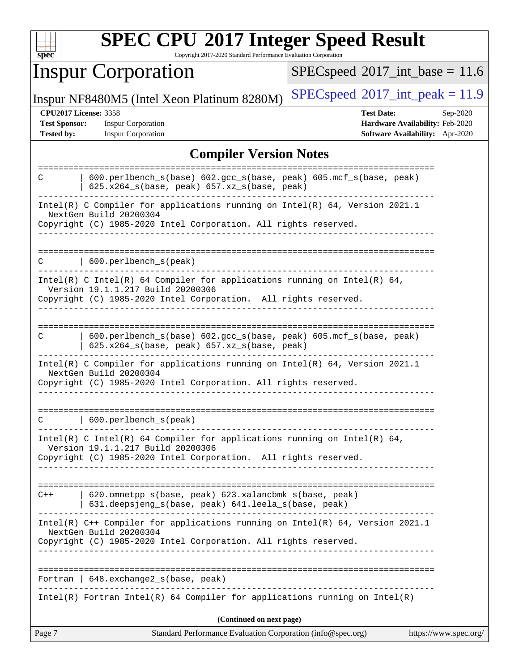| Ľ<br>ш |  |  |  |  |  |
|--------|--|--|--|--|--|

Copyright 2017-2020 Standard Performance Evaluation Corporation

# Inspur Corporation

 $SPECspeed*2017\_int\_base = 11.6$  $SPECspeed*2017\_int\_base = 11.6$ 

Inspur NF8480M5 (Intel Xeon Platinum 8280M)  $SPEC speed@2017\_int\_peak = 11.9$ 

**[Test Sponsor:](http://www.spec.org/auto/cpu2017/Docs/result-fields.html#TestSponsor)** Inspur Corporation **[Hardware Availability:](http://www.spec.org/auto/cpu2017/Docs/result-fields.html#HardwareAvailability)** Feb-2020

**[CPU2017 License:](http://www.spec.org/auto/cpu2017/Docs/result-fields.html#CPU2017License)** 3358 **[Test Date:](http://www.spec.org/auto/cpu2017/Docs/result-fields.html#TestDate)** Sep-2020 **[Tested by:](http://www.spec.org/auto/cpu2017/Docs/result-fields.html#Testedby)** Inspur Corporation **[Software Availability:](http://www.spec.org/auto/cpu2017/Docs/result-fields.html#SoftwareAvailability)** Apr-2020

### **[Compiler Version Notes](http://www.spec.org/auto/cpu2017/Docs/result-fields.html#CompilerVersionNotes)**

| Page 7 | Standard Performance Evaluation Corporation (info@spec.org)                                                                                                                                              | https://www.spec.org/ |
|--------|----------------------------------------------------------------------------------------------------------------------------------------------------------------------------------------------------------|-----------------------|
|        | (Continued on next page)                                                                                                                                                                                 |                       |
|        | $Intel(R)$ Fortran Intel(R) 64 Compiler for applications running on Intel(R)                                                                                                                             |                       |
|        | Fortran   648.exchange2_s(base, peak)                                                                                                                                                                    |                       |
|        | Intel(R) C++ Compiler for applications running on $Intel(R) 64$ , Version 2021.1<br>NextGen Build 20200304<br>Copyright (C) 1985-2020 Intel Corporation. All rights reserved.                            |                       |
| $C++$  | 620.omnetpp_s(base, peak) 623.xalancbmk_s(base, peak)<br>631.deepsjeng_s(base, peak) 641.leela_s(base, peak)                                                                                             |                       |
|        | Intel(R) C Intel(R) 64 Compiler for applications running on Intel(R) 64,<br>Version 19.1.1.217 Build 20200306<br>Copyright (C) 1985-2020 Intel Corporation. All rights reserved.                         |                       |
| C.     | 600.perlbench_s(peak)                                                                                                                                                                                    |                       |
|        | Intel(R) C Compiler for applications running on $Intel(R) 64$ , Version 2021.1<br>NextGen Build 20200304<br>Copyright (C) 1985-2020 Intel Corporation. All rights reserved.                              |                       |
| C      | 600.perlbench_s(base) 602.gcc_s(base, peak) 605.mcf_s(base, peak)<br>$625.x264_s(base, peak)$ $657.xz_s(base, peak)$                                                                                     |                       |
|        | Intel(R) C Intel(R) 64 Compiler for applications running on Intel(R) 64,<br>Version 19.1.1.217 Build 20200306<br>Copyright (C) 1985-2020 Intel Corporation. All rights reserved.<br><u>_____________</u> |                       |
|        | 600.perlbench_s(peak)<br>_______________________________                                                                                                                                                 |                       |
|        | NextGen Build 20200304<br>Copyright (C) 1985-2020 Intel Corporation. All rights reserved.                                                                                                                |                       |
|        | Intel(R) C Compiler for applications running on $Intel(R) 64$ , Version 2021.1                                                                                                                           |                       |
| C      | 600.perlbench_s(base) 602.gcc_s(base, peak) 605.mcf_s(base, peak)<br>625.x264_s(base, peak) 657.xz_s(base, peak)                                                                                         |                       |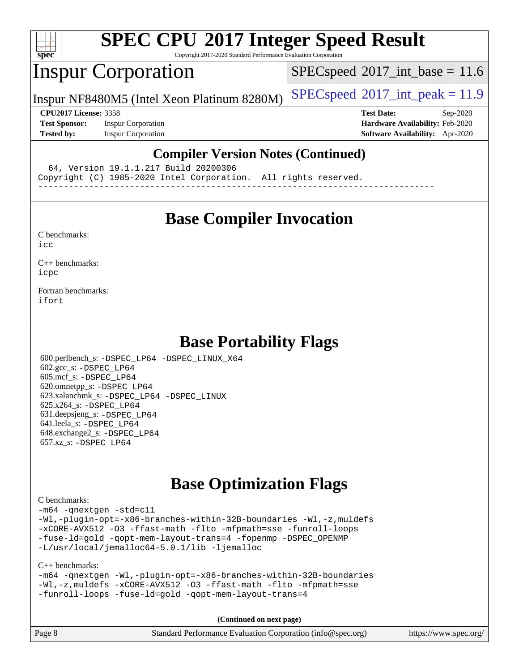

Copyright 2017-2020 Standard Performance Evaluation Corporation

## Inspur Corporation

 $SPECspeed^{\circ}2017\_int\_base = 11.6$  $SPECspeed^{\circ}2017\_int\_base = 11.6$ 

Inspur NF8480M5 (Intel Xeon Platinum 8280M) [SPECspeed](http://www.spec.org/auto/cpu2017/Docs/result-fields.html#SPECspeed2017intpeak)<sup>®</sup>[2017\\_int\\_peak = 1](http://www.spec.org/auto/cpu2017/Docs/result-fields.html#SPECspeed2017intpeak)1.9

**[Test Sponsor:](http://www.spec.org/auto/cpu2017/Docs/result-fields.html#TestSponsor)** Inspur Corporation **[Hardware Availability:](http://www.spec.org/auto/cpu2017/Docs/result-fields.html#HardwareAvailability)** Feb-2020 **[Tested by:](http://www.spec.org/auto/cpu2017/Docs/result-fields.html#Testedby)** Inspur Corporation **[Software Availability:](http://www.spec.org/auto/cpu2017/Docs/result-fields.html#SoftwareAvailability)** Apr-2020

**[CPU2017 License:](http://www.spec.org/auto/cpu2017/Docs/result-fields.html#CPU2017License)** 3358 **[Test Date:](http://www.spec.org/auto/cpu2017/Docs/result-fields.html#TestDate)** Sep-2020

#### **[Compiler Version Notes \(Continued\)](http://www.spec.org/auto/cpu2017/Docs/result-fields.html#CompilerVersionNotes)**

64, Version 19.1.1.217 Build 20200306

Copyright (C) 1985-2020 Intel Corporation. All rights reserved.

------------------------------------------------------------------------------

## **[Base Compiler Invocation](http://www.spec.org/auto/cpu2017/Docs/result-fields.html#BaseCompilerInvocation)**

[C benchmarks](http://www.spec.org/auto/cpu2017/Docs/result-fields.html#Cbenchmarks):

[icc](http://www.spec.org/cpu2017/results/res2020q4/cpu2017-20200928-24049.flags.html#user_CCbase_intel_icc_66fc1ee009f7361af1fbd72ca7dcefbb700085f36577c54f309893dd4ec40d12360134090235512931783d35fd58c0460139e722d5067c5574d8eaf2b3e37e92)

[C++ benchmarks:](http://www.spec.org/auto/cpu2017/Docs/result-fields.html#CXXbenchmarks) [icpc](http://www.spec.org/cpu2017/results/res2020q4/cpu2017-20200928-24049.flags.html#user_CXXbase_intel_icpc_c510b6838c7f56d33e37e94d029a35b4a7bccf4766a728ee175e80a419847e808290a9b78be685c44ab727ea267ec2f070ec5dc83b407c0218cded6866a35d07)

[Fortran benchmarks](http://www.spec.org/auto/cpu2017/Docs/result-fields.html#Fortranbenchmarks): [ifort](http://www.spec.org/cpu2017/results/res2020q4/cpu2017-20200928-24049.flags.html#user_FCbase_intel_ifort_8111460550e3ca792625aed983ce982f94888b8b503583aa7ba2b8303487b4d8a21a13e7191a45c5fd58ff318f48f9492884d4413fa793fd88dd292cad7027ca)

## **[Base Portability Flags](http://www.spec.org/auto/cpu2017/Docs/result-fields.html#BasePortabilityFlags)**

 600.perlbench\_s: [-DSPEC\\_LP64](http://www.spec.org/cpu2017/results/res2020q4/cpu2017-20200928-24049.flags.html#b600.perlbench_s_basePORTABILITY_DSPEC_LP64) [-DSPEC\\_LINUX\\_X64](http://www.spec.org/cpu2017/results/res2020q4/cpu2017-20200928-24049.flags.html#b600.perlbench_s_baseCPORTABILITY_DSPEC_LINUX_X64) 602.gcc\_s: [-DSPEC\\_LP64](http://www.spec.org/cpu2017/results/res2020q4/cpu2017-20200928-24049.flags.html#suite_basePORTABILITY602_gcc_s_DSPEC_LP64) 605.mcf\_s: [-DSPEC\\_LP64](http://www.spec.org/cpu2017/results/res2020q4/cpu2017-20200928-24049.flags.html#suite_basePORTABILITY605_mcf_s_DSPEC_LP64) 620.omnetpp\_s: [-DSPEC\\_LP64](http://www.spec.org/cpu2017/results/res2020q4/cpu2017-20200928-24049.flags.html#suite_basePORTABILITY620_omnetpp_s_DSPEC_LP64) 623.xalancbmk\_s: [-DSPEC\\_LP64](http://www.spec.org/cpu2017/results/res2020q4/cpu2017-20200928-24049.flags.html#suite_basePORTABILITY623_xalancbmk_s_DSPEC_LP64) [-DSPEC\\_LINUX](http://www.spec.org/cpu2017/results/res2020q4/cpu2017-20200928-24049.flags.html#b623.xalancbmk_s_baseCXXPORTABILITY_DSPEC_LINUX) 625.x264\_s: [-DSPEC\\_LP64](http://www.spec.org/cpu2017/results/res2020q4/cpu2017-20200928-24049.flags.html#suite_basePORTABILITY625_x264_s_DSPEC_LP64) 631.deepsjeng\_s: [-DSPEC\\_LP64](http://www.spec.org/cpu2017/results/res2020q4/cpu2017-20200928-24049.flags.html#suite_basePORTABILITY631_deepsjeng_s_DSPEC_LP64) 641.leela\_s: [-DSPEC\\_LP64](http://www.spec.org/cpu2017/results/res2020q4/cpu2017-20200928-24049.flags.html#suite_basePORTABILITY641_leela_s_DSPEC_LP64) 648.exchange2\_s: [-DSPEC\\_LP64](http://www.spec.org/cpu2017/results/res2020q4/cpu2017-20200928-24049.flags.html#suite_basePORTABILITY648_exchange2_s_DSPEC_LP64) 657.xz\_s: [-DSPEC\\_LP64](http://www.spec.org/cpu2017/results/res2020q4/cpu2017-20200928-24049.flags.html#suite_basePORTABILITY657_xz_s_DSPEC_LP64)

## **[Base Optimization Flags](http://www.spec.org/auto/cpu2017/Docs/result-fields.html#BaseOptimizationFlags)**

[C benchmarks](http://www.spec.org/auto/cpu2017/Docs/result-fields.html#Cbenchmarks):

[-m64](http://www.spec.org/cpu2017/results/res2020q4/cpu2017-20200928-24049.flags.html#user_CCbase_m64-icc) [-qnextgen](http://www.spec.org/cpu2017/results/res2020q4/cpu2017-20200928-24049.flags.html#user_CCbase_f-qnextgen) [-std=c11](http://www.spec.org/cpu2017/results/res2020q4/cpu2017-20200928-24049.flags.html#user_CCbase_std-icc-std_0e1c27790398a4642dfca32ffe6c27b5796f9c2d2676156f2e42c9c44eaad0c049b1cdb667a270c34d979996257aeb8fc440bfb01818dbc9357bd9d174cb8524) [-Wl,-plugin-opt=-x86-branches-within-32B-boundaries](http://www.spec.org/cpu2017/results/res2020q4/cpu2017-20200928-24049.flags.html#user_CCbase_f-x86-branches-within-32B-boundaries_0098b4e4317ae60947b7b728078a624952a08ac37a3c797dfb4ffeb399e0c61a9dd0f2f44ce917e9361fb9076ccb15e7824594512dd315205382d84209e912f3) [-Wl,-z,muldefs](http://www.spec.org/cpu2017/results/res2020q4/cpu2017-20200928-24049.flags.html#user_CCbase_link_force_multiple1_b4cbdb97b34bdee9ceefcfe54f4c8ea74255f0b02a4b23e853cdb0e18eb4525ac79b5a88067c842dd0ee6996c24547a27a4b99331201badda8798ef8a743f577) [-xCORE-AVX512](http://www.spec.org/cpu2017/results/res2020q4/cpu2017-20200928-24049.flags.html#user_CCbase_f-xCORE-AVX512) [-O3](http://www.spec.org/cpu2017/results/res2020q4/cpu2017-20200928-24049.flags.html#user_CCbase_f-O3) [-ffast-math](http://www.spec.org/cpu2017/results/res2020q4/cpu2017-20200928-24049.flags.html#user_CCbase_f-ffast-math) [-flto](http://www.spec.org/cpu2017/results/res2020q4/cpu2017-20200928-24049.flags.html#user_CCbase_f-flto) [-mfpmath=sse](http://www.spec.org/cpu2017/results/res2020q4/cpu2017-20200928-24049.flags.html#user_CCbase_f-mfpmath_70eb8fac26bde974f8ab713bc9086c5621c0b8d2f6c86f38af0bd7062540daf19db5f3a066d8c6684be05d84c9b6322eb3b5be6619d967835195b93d6c02afa1) [-funroll-loops](http://www.spec.org/cpu2017/results/res2020q4/cpu2017-20200928-24049.flags.html#user_CCbase_f-funroll-loops) [-fuse-ld=gold](http://www.spec.org/cpu2017/results/res2020q4/cpu2017-20200928-24049.flags.html#user_CCbase_f-fuse-ld_920b3586e2b8c6e0748b9c84fa9b744736ba725a32cab14ad8f3d4ad28eecb2f59d1144823d2e17006539a88734fe1fc08fc3035f7676166309105a78aaabc32) [-qopt-mem-layout-trans=4](http://www.spec.org/cpu2017/results/res2020q4/cpu2017-20200928-24049.flags.html#user_CCbase_f-qopt-mem-layout-trans_fa39e755916c150a61361b7846f310bcdf6f04e385ef281cadf3647acec3f0ae266d1a1d22d972a7087a248fd4e6ca390a3634700869573d231a252c784941a8) [-fopenmp](http://www.spec.org/cpu2017/results/res2020q4/cpu2017-20200928-24049.flags.html#user_CCbase_fopenmp_5aa2e47ce4f2ef030ba5d12d5a7a9c4e57167333d78243fcadb80b48d5abb78ff19333f8478e0b2a41e63049eb285965c145ccab7b93db7d0c4d59e4dc6f5591) [-DSPEC\\_OPENMP](http://www.spec.org/cpu2017/results/res2020q4/cpu2017-20200928-24049.flags.html#suite_CCbase_DSPEC_OPENMP) [-L/usr/local/jemalloc64-5.0.1/lib](http://www.spec.org/cpu2017/results/res2020q4/cpu2017-20200928-24049.flags.html#user_CCbase_jemalloc_link_path64_1_cc289568b1a6c0fd3b62c91b824c27fcb5af5e8098e6ad028160d21144ef1b8aef3170d2acf0bee98a8da324cfe4f67d0a3d0c4cc4673d993d694dc2a0df248b) [-ljemalloc](http://www.spec.org/cpu2017/results/res2020q4/cpu2017-20200928-24049.flags.html#user_CCbase_jemalloc_link_lib_d1249b907c500fa1c0672f44f562e3d0f79738ae9e3c4a9c376d49f265a04b9c99b167ecedbf6711b3085be911c67ff61f150a17b3472be731631ba4d0471706)

#### [C++ benchmarks:](http://www.spec.org/auto/cpu2017/Docs/result-fields.html#CXXbenchmarks)

[-m64](http://www.spec.org/cpu2017/results/res2020q4/cpu2017-20200928-24049.flags.html#user_CXXbase_m64-icc) [-qnextgen](http://www.spec.org/cpu2017/results/res2020q4/cpu2017-20200928-24049.flags.html#user_CXXbase_f-qnextgen) [-Wl,-plugin-opt=-x86-branches-within-32B-boundaries](http://www.spec.org/cpu2017/results/res2020q4/cpu2017-20200928-24049.flags.html#user_CXXbase_f-x86-branches-within-32B-boundaries_0098b4e4317ae60947b7b728078a624952a08ac37a3c797dfb4ffeb399e0c61a9dd0f2f44ce917e9361fb9076ccb15e7824594512dd315205382d84209e912f3) [-Wl,-z,muldefs](http://www.spec.org/cpu2017/results/res2020q4/cpu2017-20200928-24049.flags.html#user_CXXbase_link_force_multiple1_b4cbdb97b34bdee9ceefcfe54f4c8ea74255f0b02a4b23e853cdb0e18eb4525ac79b5a88067c842dd0ee6996c24547a27a4b99331201badda8798ef8a743f577) [-xCORE-AVX512](http://www.spec.org/cpu2017/results/res2020q4/cpu2017-20200928-24049.flags.html#user_CXXbase_f-xCORE-AVX512) [-O3](http://www.spec.org/cpu2017/results/res2020q4/cpu2017-20200928-24049.flags.html#user_CXXbase_f-O3) [-ffast-math](http://www.spec.org/cpu2017/results/res2020q4/cpu2017-20200928-24049.flags.html#user_CXXbase_f-ffast-math) [-flto](http://www.spec.org/cpu2017/results/res2020q4/cpu2017-20200928-24049.flags.html#user_CXXbase_f-flto) [-mfpmath=sse](http://www.spec.org/cpu2017/results/res2020q4/cpu2017-20200928-24049.flags.html#user_CXXbase_f-mfpmath_70eb8fac26bde974f8ab713bc9086c5621c0b8d2f6c86f38af0bd7062540daf19db5f3a066d8c6684be05d84c9b6322eb3b5be6619d967835195b93d6c02afa1) [-funroll-loops](http://www.spec.org/cpu2017/results/res2020q4/cpu2017-20200928-24049.flags.html#user_CXXbase_f-funroll-loops) [-fuse-ld=gold](http://www.spec.org/cpu2017/results/res2020q4/cpu2017-20200928-24049.flags.html#user_CXXbase_f-fuse-ld_920b3586e2b8c6e0748b9c84fa9b744736ba725a32cab14ad8f3d4ad28eecb2f59d1144823d2e17006539a88734fe1fc08fc3035f7676166309105a78aaabc32) [-qopt-mem-layout-trans=4](http://www.spec.org/cpu2017/results/res2020q4/cpu2017-20200928-24049.flags.html#user_CXXbase_f-qopt-mem-layout-trans_fa39e755916c150a61361b7846f310bcdf6f04e385ef281cadf3647acec3f0ae266d1a1d22d972a7087a248fd4e6ca390a3634700869573d231a252c784941a8)

**(Continued on next page)**

| Page 8 | Standard Performance Evaluation Corporation (info@spec.org) | https://www.spec.org/ |
|--------|-------------------------------------------------------------|-----------------------|
|--------|-------------------------------------------------------------|-----------------------|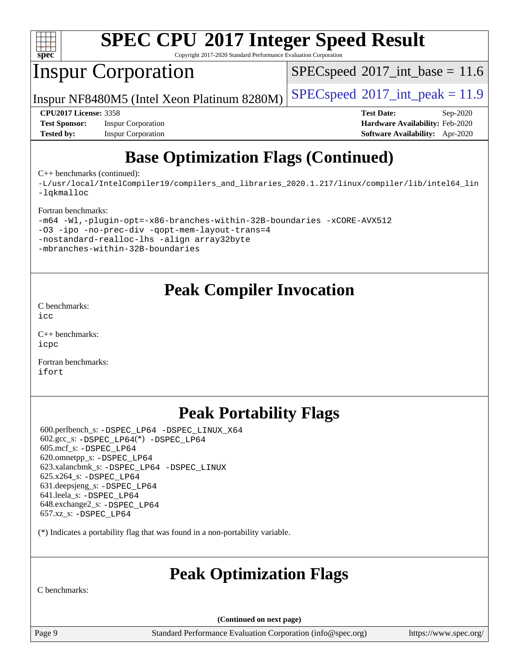

Copyright 2017-2020 Standard Performance Evaluation Corporation

# Inspur Corporation

 $SPECspeed^{\circ}2017\_int\_base = 11.6$  $SPECspeed^{\circ}2017\_int\_base = 11.6$ 

Inspur NF8480M5 (Intel Xeon Platinum 8280M)  $\left|$  [SPECspeed](http://www.spec.org/auto/cpu2017/Docs/result-fields.html#SPECspeed2017intpeak)®[2017\\_int\\_peak = 1](http://www.spec.org/auto/cpu2017/Docs/result-fields.html#SPECspeed2017intpeak)1.9

**[Test Sponsor:](http://www.spec.org/auto/cpu2017/Docs/result-fields.html#TestSponsor)** Inspur Corporation **[Hardware Availability:](http://www.spec.org/auto/cpu2017/Docs/result-fields.html#HardwareAvailability)** Feb-2020 **[Tested by:](http://www.spec.org/auto/cpu2017/Docs/result-fields.html#Testedby)** Inspur Corporation **[Software Availability:](http://www.spec.org/auto/cpu2017/Docs/result-fields.html#SoftwareAvailability)** Apr-2020

**[CPU2017 License:](http://www.spec.org/auto/cpu2017/Docs/result-fields.html#CPU2017License)** 3358 **[Test Date:](http://www.spec.org/auto/cpu2017/Docs/result-fields.html#TestDate)** Sep-2020

# **[Base Optimization Flags \(Continued\)](http://www.spec.org/auto/cpu2017/Docs/result-fields.html#BaseOptimizationFlags)**

[C++ benchmarks](http://www.spec.org/auto/cpu2017/Docs/result-fields.html#CXXbenchmarks) (continued):

[-L/usr/local/IntelCompiler19/compilers\\_and\\_libraries\\_2020.1.217/linux/compiler/lib/intel64\\_lin](http://www.spec.org/cpu2017/results/res2020q4/cpu2017-20200928-24049.flags.html#user_CXXbase_linkpath_2cb6f503891ebf8baee7515f4e7d4ec1217444d1d05903cc0091ac4158de400651d2b2313a9fa414cb8a8f0e16ab029634f5c6db340f400369c190d4db8a54a0) [-lqkmalloc](http://www.spec.org/cpu2017/results/res2020q4/cpu2017-20200928-24049.flags.html#user_CXXbase_qkmalloc_link_lib_79a818439969f771c6bc311cfd333c00fc099dad35c030f5aab9dda831713d2015205805422f83de8875488a2991c0a156aaa600e1f9138f8fc37004abc96dc5)

#### [Fortran benchmarks:](http://www.spec.org/auto/cpu2017/Docs/result-fields.html#Fortranbenchmarks)

| -m64 -Wl,-plugin-opt=-x86-branches-within-32B-boundaries -xCORE-AVX512 |  |  |  |  |  |
|------------------------------------------------------------------------|--|--|--|--|--|
| -03 -ipo -no-prec-div -gopt-mem-layout-trans=4                         |  |  |  |  |  |
| -nostandard-realloc-lhs -align array32byte                             |  |  |  |  |  |
| -mbranches-within-32B-boundaries                                       |  |  |  |  |  |

## **[Peak Compiler Invocation](http://www.spec.org/auto/cpu2017/Docs/result-fields.html#PeakCompilerInvocation)**

[C benchmarks](http://www.spec.org/auto/cpu2017/Docs/result-fields.html#Cbenchmarks): [icc](http://www.spec.org/cpu2017/results/res2020q4/cpu2017-20200928-24049.flags.html#user_CCpeak_intel_icc_66fc1ee009f7361af1fbd72ca7dcefbb700085f36577c54f309893dd4ec40d12360134090235512931783d35fd58c0460139e722d5067c5574d8eaf2b3e37e92)

[C++ benchmarks:](http://www.spec.org/auto/cpu2017/Docs/result-fields.html#CXXbenchmarks) [icpc](http://www.spec.org/cpu2017/results/res2020q4/cpu2017-20200928-24049.flags.html#user_CXXpeak_intel_icpc_c510b6838c7f56d33e37e94d029a35b4a7bccf4766a728ee175e80a419847e808290a9b78be685c44ab727ea267ec2f070ec5dc83b407c0218cded6866a35d07)

[Fortran benchmarks](http://www.spec.org/auto/cpu2017/Docs/result-fields.html#Fortranbenchmarks): [ifort](http://www.spec.org/cpu2017/results/res2020q4/cpu2017-20200928-24049.flags.html#user_FCpeak_intel_ifort_8111460550e3ca792625aed983ce982f94888b8b503583aa7ba2b8303487b4d8a21a13e7191a45c5fd58ff318f48f9492884d4413fa793fd88dd292cad7027ca)

# **[Peak Portability Flags](http://www.spec.org/auto/cpu2017/Docs/result-fields.html#PeakPortabilityFlags)**

 600.perlbench\_s: [-DSPEC\\_LP64](http://www.spec.org/cpu2017/results/res2020q4/cpu2017-20200928-24049.flags.html#b600.perlbench_s_peakPORTABILITY_DSPEC_LP64) [-DSPEC\\_LINUX\\_X64](http://www.spec.org/cpu2017/results/res2020q4/cpu2017-20200928-24049.flags.html#b600.perlbench_s_peakCPORTABILITY_DSPEC_LINUX_X64)  $602.\text{gcc}\$ : -DSPEC LP64(\*) -DSPEC LP64 605.mcf\_s: [-DSPEC\\_LP64](http://www.spec.org/cpu2017/results/res2020q4/cpu2017-20200928-24049.flags.html#suite_peakPORTABILITY605_mcf_s_DSPEC_LP64) 620.omnetpp\_s: [-DSPEC\\_LP64](http://www.spec.org/cpu2017/results/res2020q4/cpu2017-20200928-24049.flags.html#suite_peakPORTABILITY620_omnetpp_s_DSPEC_LP64) 623.xalancbmk\_s: [-DSPEC\\_LP64](http://www.spec.org/cpu2017/results/res2020q4/cpu2017-20200928-24049.flags.html#suite_peakPORTABILITY623_xalancbmk_s_DSPEC_LP64) [-DSPEC\\_LINUX](http://www.spec.org/cpu2017/results/res2020q4/cpu2017-20200928-24049.flags.html#b623.xalancbmk_s_peakCXXPORTABILITY_DSPEC_LINUX) 625.x264\_s: [-DSPEC\\_LP64](http://www.spec.org/cpu2017/results/res2020q4/cpu2017-20200928-24049.flags.html#suite_peakPORTABILITY625_x264_s_DSPEC_LP64) 631.deepsjeng\_s: [-DSPEC\\_LP64](http://www.spec.org/cpu2017/results/res2020q4/cpu2017-20200928-24049.flags.html#suite_peakPORTABILITY631_deepsjeng_s_DSPEC_LP64) 641.leela\_s: [-DSPEC\\_LP64](http://www.spec.org/cpu2017/results/res2020q4/cpu2017-20200928-24049.flags.html#suite_peakPORTABILITY641_leela_s_DSPEC_LP64) 648.exchange2\_s: [-DSPEC\\_LP64](http://www.spec.org/cpu2017/results/res2020q4/cpu2017-20200928-24049.flags.html#suite_peakPORTABILITY648_exchange2_s_DSPEC_LP64) 657.xz\_s: [-DSPEC\\_LP64](http://www.spec.org/cpu2017/results/res2020q4/cpu2017-20200928-24049.flags.html#suite_peakPORTABILITY657_xz_s_DSPEC_LP64)

(\*) Indicates a portability flag that was found in a non-portability variable.

## **[Peak Optimization Flags](http://www.spec.org/auto/cpu2017/Docs/result-fields.html#PeakOptimizationFlags)**

[C benchmarks:](http://www.spec.org/auto/cpu2017/Docs/result-fields.html#Cbenchmarks)

**(Continued on next page)**

Page 9 Standard Performance Evaluation Corporation [\(info@spec.org\)](mailto:info@spec.org) <https://www.spec.org/>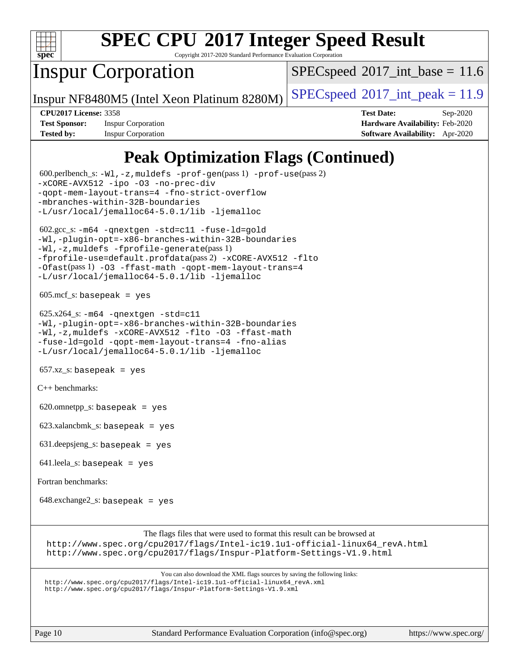

Copyright 2017-2020 Standard Performance Evaluation Corporation

# Inspur Corporation

 $SPECspeed^{\circ}2017\_int\_base = 11.6$  $SPECspeed^{\circ}2017\_int\_base = 11.6$ 

Inspur NF8480M5 (Intel Xeon Platinum 8280M)  $\left|$  [SPECspeed](http://www.spec.org/auto/cpu2017/Docs/result-fields.html#SPECspeed2017intpeak)®[2017\\_int\\_peak = 1](http://www.spec.org/auto/cpu2017/Docs/result-fields.html#SPECspeed2017intpeak)1.9

**[Test Sponsor:](http://www.spec.org/auto/cpu2017/Docs/result-fields.html#TestSponsor)** Inspur Corporation **[Hardware Availability:](http://www.spec.org/auto/cpu2017/Docs/result-fields.html#HardwareAvailability)** Feb-2020 **[Tested by:](http://www.spec.org/auto/cpu2017/Docs/result-fields.html#Testedby)** Inspur Corporation **[Software Availability:](http://www.spec.org/auto/cpu2017/Docs/result-fields.html#SoftwareAvailability)** Apr-2020

**[CPU2017 License:](http://www.spec.org/auto/cpu2017/Docs/result-fields.html#CPU2017License)** 3358 **[Test Date:](http://www.spec.org/auto/cpu2017/Docs/result-fields.html#TestDate)** Sep-2020

# **[Peak Optimization Flags \(Continued\)](http://www.spec.org/auto/cpu2017/Docs/result-fields.html#PeakOptimizationFlags)**

 600.perlbench\_s: [-Wl,-z,muldefs](http://www.spec.org/cpu2017/results/res2020q4/cpu2017-20200928-24049.flags.html#user_peakEXTRA_LDFLAGS600_perlbench_s_link_force_multiple1_b4cbdb97b34bdee9ceefcfe54f4c8ea74255f0b02a4b23e853cdb0e18eb4525ac79b5a88067c842dd0ee6996c24547a27a4b99331201badda8798ef8a743f577) [-prof-gen](http://www.spec.org/cpu2017/results/res2020q4/cpu2017-20200928-24049.flags.html#user_peakPASS1_CFLAGSPASS1_LDFLAGS600_perlbench_s_prof_gen_5aa4926d6013ddb2a31985c654b3eb18169fc0c6952a63635c234f711e6e63dd76e94ad52365559451ec499a2cdb89e4dc58ba4c67ef54ca681ffbe1461d6b36)(pass 1) [-prof-use](http://www.spec.org/cpu2017/results/res2020q4/cpu2017-20200928-24049.flags.html#user_peakPASS2_CFLAGSPASS2_LDFLAGS600_perlbench_s_prof_use_1a21ceae95f36a2b53c25747139a6c16ca95bd9def2a207b4f0849963b97e94f5260e30a0c64f4bb623698870e679ca08317ef8150905d41bd88c6f78df73f19)(pass 2) [-xCORE-AVX512](http://www.spec.org/cpu2017/results/res2020q4/cpu2017-20200928-24049.flags.html#user_peakCOPTIMIZE600_perlbench_s_f-xCORE-AVX512) [-ipo](http://www.spec.org/cpu2017/results/res2020q4/cpu2017-20200928-24049.flags.html#user_peakCOPTIMIZE600_perlbench_s_f-ipo) -03 [-no-prec-div](http://www.spec.org/cpu2017/results/res2020q4/cpu2017-20200928-24049.flags.html#user_peakCOPTIMIZE600_perlbench_s_f-no-prec-div) [-qopt-mem-layout-trans=4](http://www.spec.org/cpu2017/results/res2020q4/cpu2017-20200928-24049.flags.html#user_peakCOPTIMIZE600_perlbench_s_f-qopt-mem-layout-trans_fa39e755916c150a61361b7846f310bcdf6f04e385ef281cadf3647acec3f0ae266d1a1d22d972a7087a248fd4e6ca390a3634700869573d231a252c784941a8) [-fno-strict-overflow](http://www.spec.org/cpu2017/results/res2020q4/cpu2017-20200928-24049.flags.html#user_peakEXTRA_OPTIMIZE600_perlbench_s_f-fno-strict-overflow) [-mbranches-within-32B-boundaries](http://www.spec.org/cpu2017/results/res2020q4/cpu2017-20200928-24049.flags.html#user_peakEXTRA_COPTIMIZE600_perlbench_s_f-mbranches-within-32B-boundaries) [-L/usr/local/jemalloc64-5.0.1/lib](http://www.spec.org/cpu2017/results/res2020q4/cpu2017-20200928-24049.flags.html#user_peakEXTRA_LIBS600_perlbench_s_jemalloc_link_path64_1_cc289568b1a6c0fd3b62c91b824c27fcb5af5e8098e6ad028160d21144ef1b8aef3170d2acf0bee98a8da324cfe4f67d0a3d0c4cc4673d993d694dc2a0df248b) [-ljemalloc](http://www.spec.org/cpu2017/results/res2020q4/cpu2017-20200928-24049.flags.html#user_peakEXTRA_LIBS600_perlbench_s_jemalloc_link_lib_d1249b907c500fa1c0672f44f562e3d0f79738ae9e3c4a9c376d49f265a04b9c99b167ecedbf6711b3085be911c67ff61f150a17b3472be731631ba4d0471706) 602.gcc\_s: [-m64](http://www.spec.org/cpu2017/results/res2020q4/cpu2017-20200928-24049.flags.html#user_peakCCLD602_gcc_s_m64-icc) [-qnextgen](http://www.spec.org/cpu2017/results/res2020q4/cpu2017-20200928-24049.flags.html#user_peakCCLD602_gcc_s_f-qnextgen) [-std=c11](http://www.spec.org/cpu2017/results/res2020q4/cpu2017-20200928-24049.flags.html#user_peakCCLD602_gcc_s_std-icc-std_0e1c27790398a4642dfca32ffe6c27b5796f9c2d2676156f2e42c9c44eaad0c049b1cdb667a270c34d979996257aeb8fc440bfb01818dbc9357bd9d174cb8524) [-fuse-ld=gold](http://www.spec.org/cpu2017/results/res2020q4/cpu2017-20200928-24049.flags.html#user_peakCCLD602_gcc_s_f-fuse-ld_920b3586e2b8c6e0748b9c84fa9b744736ba725a32cab14ad8f3d4ad28eecb2f59d1144823d2e17006539a88734fe1fc08fc3035f7676166309105a78aaabc32) [-Wl,-plugin-opt=-x86-branches-within-32B-boundaries](http://www.spec.org/cpu2017/results/res2020q4/cpu2017-20200928-24049.flags.html#user_peakLDFLAGS602_gcc_s_f-x86-branches-within-32B-boundaries_0098b4e4317ae60947b7b728078a624952a08ac37a3c797dfb4ffeb399e0c61a9dd0f2f44ce917e9361fb9076ccb15e7824594512dd315205382d84209e912f3) [-Wl,-z,muldefs](http://www.spec.org/cpu2017/results/res2020q4/cpu2017-20200928-24049.flags.html#user_peakEXTRA_LDFLAGS602_gcc_s_link_force_multiple1_b4cbdb97b34bdee9ceefcfe54f4c8ea74255f0b02a4b23e853cdb0e18eb4525ac79b5a88067c842dd0ee6996c24547a27a4b99331201badda8798ef8a743f577) [-fprofile-generate](http://www.spec.org/cpu2017/results/res2020q4/cpu2017-20200928-24049.flags.html#user_peakPASS1_CFLAGSPASS1_LDFLAGS602_gcc_s_fprofile-generate)(pass 1) [-fprofile-use=default.profdata](http://www.spec.org/cpu2017/results/res2020q4/cpu2017-20200928-24049.flags.html#user_peakPASS2_CFLAGSPASS2_LDFLAGS602_gcc_s_fprofile-use_56aeee182b92ec249f9670f17c9b8e7d83fe2d25538e35a2cf64c434b579a2235a8b8fc66ef5678d24461366bbab9d486c870d8a72905233fc08e43eefe3cd80)(pass 2) [-xCORE-AVX512](http://www.spec.org/cpu2017/results/res2020q4/cpu2017-20200928-24049.flags.html#user_peakCOPTIMIZEPASS1_CFLAGSPASS1_LDFLAGS602_gcc_s_f-xCORE-AVX512) [-flto](http://www.spec.org/cpu2017/results/res2020q4/cpu2017-20200928-24049.flags.html#user_peakCOPTIMIZEPASS1_CFLAGSPASS1_LDFLAGS602_gcc_s_f-flto) [-Ofast](http://www.spec.org/cpu2017/results/res2020q4/cpu2017-20200928-24049.flags.html#user_peakPASS1_CFLAGSPASS1_LDFLAGS602_gcc_s_f-Ofast)(pass 1) [-O3](http://www.spec.org/cpu2017/results/res2020q4/cpu2017-20200928-24049.flags.html#user_peakCOPTIMIZE602_gcc_s_f-O3) [-ffast-math](http://www.spec.org/cpu2017/results/res2020q4/cpu2017-20200928-24049.flags.html#user_peakCOPTIMIZE602_gcc_s_f-ffast-math) [-qopt-mem-layout-trans=4](http://www.spec.org/cpu2017/results/res2020q4/cpu2017-20200928-24049.flags.html#user_peakCOPTIMIZE602_gcc_s_f-qopt-mem-layout-trans_fa39e755916c150a61361b7846f310bcdf6f04e385ef281cadf3647acec3f0ae266d1a1d22d972a7087a248fd4e6ca390a3634700869573d231a252c784941a8) [-L/usr/local/jemalloc64-5.0.1/lib](http://www.spec.org/cpu2017/results/res2020q4/cpu2017-20200928-24049.flags.html#user_peakEXTRA_LIBS602_gcc_s_jemalloc_link_path64_1_cc289568b1a6c0fd3b62c91b824c27fcb5af5e8098e6ad028160d21144ef1b8aef3170d2acf0bee98a8da324cfe4f67d0a3d0c4cc4673d993d694dc2a0df248b) [-ljemalloc](http://www.spec.org/cpu2017/results/res2020q4/cpu2017-20200928-24049.flags.html#user_peakEXTRA_LIBS602_gcc_s_jemalloc_link_lib_d1249b907c500fa1c0672f44f562e3d0f79738ae9e3c4a9c376d49f265a04b9c99b167ecedbf6711b3085be911c67ff61f150a17b3472be731631ba4d0471706)  $605 \text{.mcf}\text{-}\text{s}$ : basepeak = yes 625.x264\_s: [-m64](http://www.spec.org/cpu2017/results/res2020q4/cpu2017-20200928-24049.flags.html#user_peakCCLD625_x264_s_m64-icc) [-qnextgen](http://www.spec.org/cpu2017/results/res2020q4/cpu2017-20200928-24049.flags.html#user_peakCCLD625_x264_s_f-qnextgen) [-std=c11](http://www.spec.org/cpu2017/results/res2020q4/cpu2017-20200928-24049.flags.html#user_peakCCLD625_x264_s_std-icc-std_0e1c27790398a4642dfca32ffe6c27b5796f9c2d2676156f2e42c9c44eaad0c049b1cdb667a270c34d979996257aeb8fc440bfb01818dbc9357bd9d174cb8524) [-Wl,-plugin-opt=-x86-branches-within-32B-boundaries](http://www.spec.org/cpu2017/results/res2020q4/cpu2017-20200928-24049.flags.html#user_peakLDFLAGS625_x264_s_f-x86-branches-within-32B-boundaries_0098b4e4317ae60947b7b728078a624952a08ac37a3c797dfb4ffeb399e0c61a9dd0f2f44ce917e9361fb9076ccb15e7824594512dd315205382d84209e912f3) [-Wl,-z,muldefs](http://www.spec.org/cpu2017/results/res2020q4/cpu2017-20200928-24049.flags.html#user_peakEXTRA_LDFLAGS625_x264_s_link_force_multiple1_b4cbdb97b34bdee9ceefcfe54f4c8ea74255f0b02a4b23e853cdb0e18eb4525ac79b5a88067c842dd0ee6996c24547a27a4b99331201badda8798ef8a743f577) [-xCORE-AVX512](http://www.spec.org/cpu2017/results/res2020q4/cpu2017-20200928-24049.flags.html#user_peakCOPTIMIZE625_x264_s_f-xCORE-AVX512) [-flto](http://www.spec.org/cpu2017/results/res2020q4/cpu2017-20200928-24049.flags.html#user_peakCOPTIMIZE625_x264_s_f-flto) [-O3](http://www.spec.org/cpu2017/results/res2020q4/cpu2017-20200928-24049.flags.html#user_peakCOPTIMIZE625_x264_s_f-O3) [-ffast-math](http://www.spec.org/cpu2017/results/res2020q4/cpu2017-20200928-24049.flags.html#user_peakCOPTIMIZE625_x264_s_f-ffast-math) [-fuse-ld=gold](http://www.spec.org/cpu2017/results/res2020q4/cpu2017-20200928-24049.flags.html#user_peakCOPTIMIZE625_x264_s_f-fuse-ld_920b3586e2b8c6e0748b9c84fa9b744736ba725a32cab14ad8f3d4ad28eecb2f59d1144823d2e17006539a88734fe1fc08fc3035f7676166309105a78aaabc32) [-qopt-mem-layout-trans=4](http://www.spec.org/cpu2017/results/res2020q4/cpu2017-20200928-24049.flags.html#user_peakCOPTIMIZE625_x264_s_f-qopt-mem-layout-trans_fa39e755916c150a61361b7846f310bcdf6f04e385ef281cadf3647acec3f0ae266d1a1d22d972a7087a248fd4e6ca390a3634700869573d231a252c784941a8) [-fno-alias](http://www.spec.org/cpu2017/results/res2020q4/cpu2017-20200928-24049.flags.html#user_peakEXTRA_OPTIMIZE625_x264_s_f-no-alias_77dbac10d91cbfe898fbf4a29d1b29b694089caa623bdd1baccc9957d4edbe8d106c0b357e2748a65b44fc9e83d78098bb898077f3fe92f9faf24f7bd4a07ed7) [-L/usr/local/jemalloc64-5.0.1/lib](http://www.spec.org/cpu2017/results/res2020q4/cpu2017-20200928-24049.flags.html#user_peakEXTRA_LIBS625_x264_s_jemalloc_link_path64_1_cc289568b1a6c0fd3b62c91b824c27fcb5af5e8098e6ad028160d21144ef1b8aef3170d2acf0bee98a8da324cfe4f67d0a3d0c4cc4673d993d694dc2a0df248b) [-ljemalloc](http://www.spec.org/cpu2017/results/res2020q4/cpu2017-20200928-24049.flags.html#user_peakEXTRA_LIBS625_x264_s_jemalloc_link_lib_d1249b907c500fa1c0672f44f562e3d0f79738ae9e3c4a9c376d49f265a04b9c99b167ecedbf6711b3085be911c67ff61f150a17b3472be731631ba4d0471706)  $657.xz_s$ : basepeak = yes [C++ benchmarks:](http://www.spec.org/auto/cpu2017/Docs/result-fields.html#CXXbenchmarks) 620.omnetpp\_s: basepeak = yes  $623.xalanchmk_s:$  basepeak = yes 631.deepsjeng\_s: basepeak = yes 641.leela\_s: basepeak = yes [Fortran benchmarks](http://www.spec.org/auto/cpu2017/Docs/result-fields.html#Fortranbenchmarks): 648.exchange2\_s: basepeak = yes [The flags files that were used to format this result can be browsed at](tmsearch) [http://www.spec.org/cpu2017/flags/Intel-ic19.1u1-official-linux64\\_revA.html](http://www.spec.org/cpu2017/flags/Intel-ic19.1u1-official-linux64_revA.html) <http://www.spec.org/cpu2017/flags/Inspur-Platform-Settings-V1.9.html> [You can also download the XML flags sources by saving the following links:](tmsearch) [http://www.spec.org/cpu2017/flags/Intel-ic19.1u1-official-linux64\\_revA.xml](http://www.spec.org/cpu2017/flags/Intel-ic19.1u1-official-linux64_revA.xml) <http://www.spec.org/cpu2017/flags/Inspur-Platform-Settings-V1.9.xml>